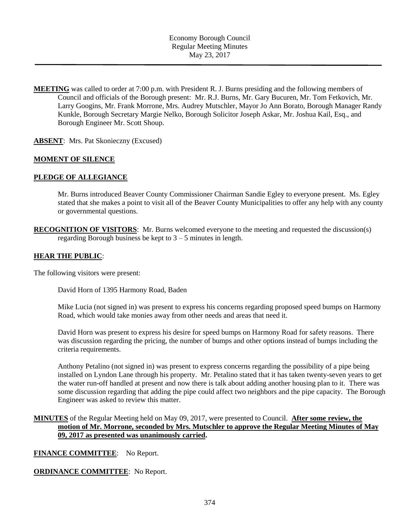**MEETING** was called to order at 7:00 p.m. with President R. J. Burns presiding and the following members of Council and officials of the Borough present: Mr. R.J. Burns, Mr. Gary Bucuren, Mr. Tom Fetkovich, Mr. Larry Googins, Mr. Frank Morrone, Mrs. Audrey Mutschler, Mayor Jo Ann Borato, Borough Manager Randy Kunkle, Borough Secretary Margie Nelko, Borough Solicitor Joseph Askar, Mr. Joshua Kail, Esq., and Borough Engineer Mr. Scott Shoup.

**ABSENT**: Mrs. Pat Skonieczny (Excused)

### **MOMENT OF SILENCE**

### **PLEDGE OF ALLEGIANCE**

Mr. Burns introduced Beaver County Commissioner Chairman Sandie Egley to everyone present. Ms. Egley stated that she makes a point to visit all of the Beaver County Municipalities to offer any help with any county or governmental questions.

**RECOGNITION OF VISITORS**: Mr. Burns welcomed everyone to the meeting and requested the discussion(s) regarding Borough business be kept to 3 – 5 minutes in length.

### **HEAR THE PUBLIC**:

The following visitors were present:

David Horn of 1395 Harmony Road, Baden

Mike Lucia (not signed in) was present to express his concerns regarding proposed speed bumps on Harmony Road, which would take monies away from other needs and areas that need it.

David Horn was present to express his desire for speed bumps on Harmony Road for safety reasons. There was discussion regarding the pricing, the number of bumps and other options instead of bumps including the criteria requirements.

Anthony Petalino (not signed in) was present to express concerns regarding the possibility of a pipe being installed on Lyndon Lane through his property. Mr. Petalino stated that it has taken twenty-seven years to get the water run-off handled at present and now there is talk about adding another housing plan to it. There was some discussion regarding that adding the pipe could affect two neighbors and the pipe capacity. The Borough Engineer was asked to review this matter.

## **MINUTES** of the Regular Meeting held on May 09, 2017, were presented to Council. **After some review, the motion of Mr. Morrone, seconded by Mrs. Mutschler to approve the Regular Meeting Minutes of May 09, 2017 as presented was unanimously carried.**

**FINANCE COMMITTEE**: No Report.

#### **ORDINANCE COMMITTEE**: No Report.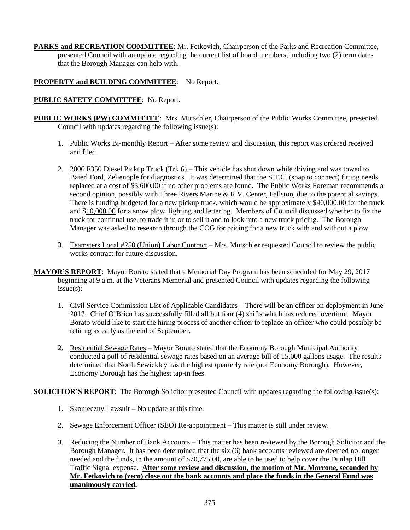**PARKS and RECREATION COMMITTEE**: Mr. Fetkovich, Chairperson of the Parks and Recreation Committee, presented Council with an update regarding the current list of board members, including two (2) term dates that the Borough Manager can help with.

# **PROPERTY and BUILDING COMMITTEE**: No Report.

# **PUBLIC SAFETY COMMITTEE**: No Report.

- **PUBLIC WORKS (PW) COMMITTEE**: Mrs. Mutschler, Chairperson of the Public Works Committee, presented Council with updates regarding the following issue(s):
	- 1. Public Works Bi-monthly Report After some review and discussion, this report was ordered received and filed.
	- 2. 2006 F350 Diesel Pickup Truck (Trk 6) This vehicle has shut down while driving and was towed to Baierl Ford, Zelienople for diagnostics. It was determined that the S.T.C. (snap to connect) fitting needs replaced at a cost of \$3,600.00 if no other problems are found. The Public Works Foreman recommends a second opinion, possibly with Three Rivers Marine & R.V. Center, Fallston, due to the potential savings. There is funding budgeted for a new pickup truck, which would be approximately \$40,000.00 for the truck and \$10,000.00 for a snow plow, lighting and lettering. Members of Council discussed whether to fix the truck for continual use, to trade it in or to sell it and to look into a new truck pricing. The Borough Manager was asked to research through the COG for pricing for a new truck with and without a plow.
	- 3. Teamsters Local #250 (Union) Labor Contract Mrs. Mutschler requested Council to review the public works contract for future discussion.
- **MAYOR'S REPORT**: Mayor Borato stated that a Memorial Day Program has been scheduled for May 29, 2017 beginning at  $\overline{9}$  a.m. at the Veterans Memorial and presented Council with updates regarding the following issue(s):
	- 1. Civil Service Commission List of Applicable Candidates There will be an officer on deployment in June 2017. Chief O'Brien has successfully filled all but four (4) shifts which has reduced overtime. Mayor Borato would like to start the hiring process of another officer to replace an officer who could possibly be retiring as early as the end of September.
	- 2. Residential Sewage Rates Mayor Borato stated that the Economy Borough Municipal Authority conducted a poll of residential sewage rates based on an average bill of 15,000 gallons usage. The results determined that North Sewickley has the highest quarterly rate (not Economy Borough). However, Economy Borough has the highest tap-in fees.

**SOLICITOR'S REPORT:** The Borough Solicitor presented Council with updates regarding the following issue(s):

- 1. Skonieczny Lawsuit No update at this time.
- 2. Sewage Enforcement Officer (SEO) Re-appointment This matter is still under review.
- 3. Reducing the Number of Bank Accounts This matter has been reviewed by the Borough Solicitor and the Borough Manager. It has been determined that the six (6) bank accounts reviewed are deemed no longer needed and the funds, in the amount of \$70,775.00, are able to be used to help cover the Dunlap Hill Traffic Signal expense. **After some review and discussion, the motion of Mr. Morrone, seconded by Mr. Fetkovich to (zero) close out the bank accounts and place the funds in the General Fund was unanimously carried.**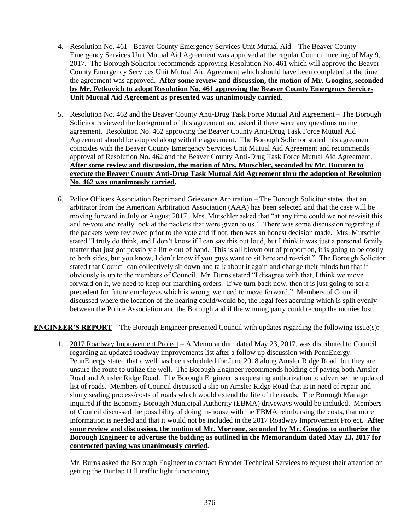- 4. Resolution No. 461 Beaver County Emergency Services Unit Mutual Aid The Beaver County Emergency Services Unit Mutual Aid Agreement was approved at the regular Council meeting of May 9, 2017. The Borough Solicitor recommends approving Resolution No. 461 which will approve the Beaver County Emergency Services Unit Mutual Aid Agreement which should have been completed at the time the agreement was approved. **After some review and discussion, the motion of Mr. Googins, seconded by Mr. Fetkovich to adopt Resolution No. 461 approving the Beaver County Emergency Services Unit Mutual Aid Agreement as presented was unanimously carried.**
- 5. Resolution No. 462 and the Beaver County Anti-Drug Task Force Mutual Aid Agreement The Borough Solicitor reviewed the background of this agreement and asked if there were any questions on the agreement. Resolution No. 462 approving the Beaver County Anti-Drug Task Force Mutual Aid Agreement should be adopted along with the agreement. The Borough Solicitor stated this agreement coincides with the Beaver County Emergency Services Unit Mutual Aid Agreement and recommends approval of Resolution No. 462 and the Beaver County Anti-Drug Task Force Mutual Aid Agreement. **After some review and discussion, the motion of Mrs. Mutschler, seconded by Mr. Bucuren to execute the Beaver County Anti-Drug Task Mutual Aid Agreement thru the adoption of Resolution No. 462 was unanimously carried.**
- 6. Police Officers Association Reprimand Grievance Arbitration The Borough Solicitor stated that an arbitrator from the American Arbitration Association (AAA) has been selected and that the case will be moving forward in July or August 2017. Mrs. Mutschler asked that "at any time could we not re-visit this and re-vote and really look at the packets that were given to us." There was some discussion regarding if the packets were reviewed prior to the vote and if not, then was an honest decision made. Mrs. Mutschler stated "I truly do think, and I don't know if I can say this out loud, but I think it was just a personal family matter that just got possibly a little out of hand. This is all blown out of proportion, it is going to be costly to both sides, but you know, I don't know if you guys want to sit here and re-visit." The Borough Solicitor stated that Council can collectively sit down and talk about it again and change their minds but that it obviously is up to the members of Council. Mr. Burns stated "I disagree with that, I think we move forward on it, we need to keep our marching orders. If we turn back now, then it is just going to set a precedent for future employees which is wrong, we need to move forward." Members of Council discussed where the location of the hearing could/would be, the legal fees accruing which is split evenly between the Police Association and the Borough and if the winning party could recoup the monies lost.

**ENGINEER'S REPORT** – The Borough Engineer presented Council with updates regarding the following issue(s):

1. 2017 Roadway Improvement Project – A Memorandum dated May 23, 2017, was distributed to Council regarding an updated roadway improvements list after a follow up discussion with PennEnergy. PennEnergy stated that a well has been scheduled for June 2018 along Amsler Ridge Road, but they are unsure the route to utilize the well. The Borough Engineer recommends holding off paving both Amsler Road and Amsler Ridge Road. The Borough Engineer is requesting authorization to advertise the updated list of roads. Members of Council discussed a slip on Amsler Ridge Road that is in need of repair and slurry sealing process/costs of roads which would extend the life of the roads. The Borough Manager inquired if the Economy Borough Municipal Authority (EBMA) driveways would be included. Members of Council discussed the possibility of doing in-house with the EBMA reimbursing the costs, that more information is needed and that it would not be included in the 2017 Roadway Improvement Project. **After some review and discussion, the motion of Mr. Morrone, seconded by Mr. Googins to authorize the Borough Engineer to advertise the bidding as outlined in the Memorandum dated May 23, 2017 for contracted paving was unanimously carried.**

Mr. Burns asked the Borough Engineer to contact Bronder Technical Services to request their attention on getting the Dunlap Hill traffic light functioning.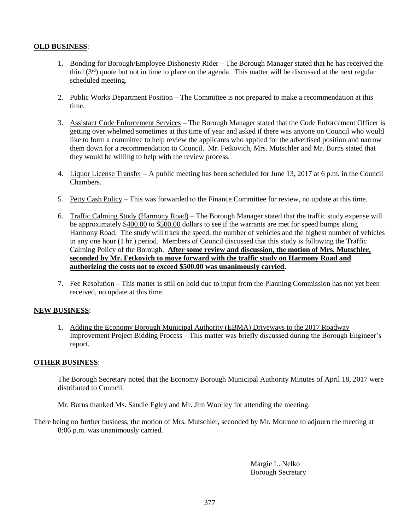# **OLD BUSINESS**:

- 1. Bonding for Borough/Employee Dishonesty Rider The Borough Manager stated that he has received the third  $(3<sup>rd</sup>)$  quote but not in time to place on the agenda. This matter will be discussed at the next regular scheduled meeting.
- 2. Public Works Department Position The Committee is not prepared to make a recommendation at this time.
- 3. Assistant Code Enforcement Services The Borough Manager stated that the Code Enforcement Officer is getting over whelmed sometimes at this time of year and asked if there was anyone on Council who would like to form a committee to help review the applicants who applied for the advertised position and narrow them down for a recommendation to Council. Mr. Fetkovich, Mrs. Mutschler and Mr. Burns stated that they would be willing to help with the review process.
- 4. Liquor License Transfer A public meeting has been scheduled for June 13, 2017 at 6 p.m. in the Council Chambers.
- 5. Petty Cash Policy This was forwarded to the Finance Committee for review, no update at this time.
- 6. Traffic Calming Study (Harmony Road) The Borough Manager stated that the traffic study expense will be approximately \$400.00 to \$500.00 dollars to see if the warrants are met for speed bumps along Harmony Road. The study will track the speed, the number of vehicles and the highest number of vehicles in any one hour (1 hr.) period. Members of Council discussed that this study is following the Traffic Calming Policy of the Borough. **After some review and discussion, the motion of Mrs. Mutschler, seconded by Mr. Fetkovich to move forward with the traffic study on Harmony Road and authorizing the costs not to exceed \$500.00 was unanimously carried.**
- 7. Fee Resolution This matter is still on hold due to input from the Planning Commission has not yet been received, no update at this time.

## **NEW BUSINESS**:

1. Adding the Economy Borough Municipal Authority (EBMA) Driveways to the 2017 Roadway Improvement Project Bidding Process – This matter was briefly discussed during the Borough Engineer's report.

## **OTHER BUSINESS**:

The Borough Secretary noted that the Economy Borough Municipal Authority Minutes of April 18, 2017 were distributed to Council.

Mr. Burns thanked Ms. Sandie Egley and Mr. Jim Woolley for attending the meeting.

There being no further business, the motion of Mrs. Mutschler, seconded by Mr. Morrone to adjourn the meeting at 8:06 p.m. was unanimously carried.

> Margie L. Nelko Borough Secretary